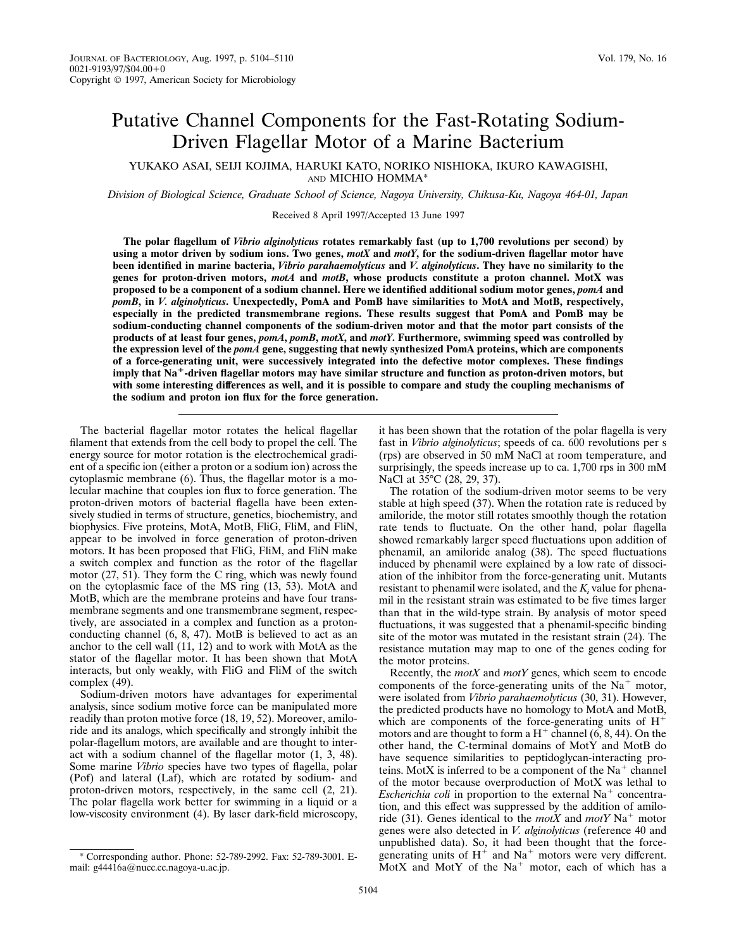# Putative Channel Components for the Fast-Rotating Sodium-Driven Flagellar Motor of a Marine Bacterium

YUKAKO ASAI, SEIJI KOJIMA, HARUKI KATO, NORIKO NISHIOKA, IKURO KAWAGISHI, AND MICHIO HOMMA\*

*Division of Biological Science, Graduate School of Science, Nagoya University, Chikusa-Ku, Nagoya 464-01, Japan*

Received 8 April 1997/Accepted 13 June 1997

**The polar flagellum of** *Vibrio alginolyticus* **rotates remarkably fast (up to 1,700 revolutions per second) by using a motor driven by sodium ions. Two genes,** *motX* **and** *motY***, for the sodium-driven flagellar motor have been identified in marine bacteria,** *Vibrio parahaemolyticus* **and** *V. alginolyticus***. They have no similarity to the genes for proton-driven motors,** *motA* **and** *motB***, whose products constitute a proton channel. MotX was proposed to be a component of a sodium channel. Here we identified additional sodium motor genes,** *pomA* **and** *pomB***, in** *V. alginolyticus***. Unexpectedly, PomA and PomB have similarities to MotA and MotB, respectively, especially in the predicted transmembrane regions. These results suggest that PomA and PomB may be sodium-conducting channel components of the sodium-driven motor and that the motor part consists of the products of at least four genes,** *pomA***,** *pomB***,** *motX***, and** *motY***. Furthermore, swimming speed was controlled by the expression level of the** *pomA* **gene, suggesting that newly synthesized PomA proteins, which are components of a force-generating unit, were successively integrated into the defective motor complexes. These findings** imply that Na<sup>+</sup>-driven flagellar motors may have similar structure and function as proton-driven motors, but **with some interesting differences as well, and it is possible to compare and study the coupling mechanisms of the sodium and proton ion flux for the force generation.**

The bacterial flagellar motor rotates the helical flagellar filament that extends from the cell body to propel the cell. The energy source for motor rotation is the electrochemical gradient of a specific ion (either a proton or a sodium ion) across the cytoplasmic membrane (6). Thus, the flagellar motor is a molecular machine that couples ion flux to force generation. The proton-driven motors of bacterial flagella have been extensively studied in terms of structure, genetics, biochemistry, and biophysics. Five proteins, MotA, MotB, FliG, FliM, and FliN, appear to be involved in force generation of proton-driven motors. It has been proposed that FliG, FliM, and FliN make a switch complex and function as the rotor of the flagellar motor (27, 51). They form the C ring, which was newly found on the cytoplasmic face of the MS ring (13, 53). MotA and MotB, which are the membrane proteins and have four transmembrane segments and one transmembrane segment, respectively, are associated in a complex and function as a protonconducting channel (6, 8, 47). MotB is believed to act as an anchor to the cell wall (11, 12) and to work with MotA as the stator of the flagellar motor. It has been shown that MotA interacts, but only weakly, with FliG and FliM of the switch complex (49).

Sodium-driven motors have advantages for experimental analysis, since sodium motive force can be manipulated more readily than proton motive force (18, 19, 52). Moreover, amiloride and its analogs, which specifically and strongly inhibit the polar-flagellum motors, are available and are thought to interact with a sodium channel of the flagellar motor (1, 3, 48). Some marine *Vibrio* species have two types of flagella, polar (Pof) and lateral (Laf), which are rotated by sodium- and proton-driven motors, respectively, in the same cell (2, 21). The polar flagella work better for swimming in a liquid or a low-viscosity environment (4). By laser dark-field microscopy,

it has been shown that the rotation of the polar flagella is very fast in *Vibrio alginolyticus*; speeds of ca. 600 revolutions per s (rps) are observed in 50 mM NaCl at room temperature, and surprisingly, the speeds increase up to ca. 1,700 rps in 300 mM NaCl at 35°C (28, 29, 37).

The rotation of the sodium-driven motor seems to be very stable at high speed (37). When the rotation rate is reduced by amiloride, the motor still rotates smoothly though the rotation rate tends to fluctuate. On the other hand, polar flagella showed remarkably larger speed fluctuations upon addition of phenamil, an amiloride analog (38). The speed fluctuations induced by phenamil were explained by a low rate of dissociation of the inhibitor from the force-generating unit. Mutants resistant to phenamil were isolated, and the  $K<sub>i</sub>$  value for phenamil in the resistant strain was estimated to be five times larger than that in the wild-type strain. By analysis of motor speed fluctuations, it was suggested that a phenamil-specific binding site of the motor was mutated in the resistant strain (24). The resistance mutation may map to one of the genes coding for the motor proteins.

Recently, the *motX* and *motY* genes, which seem to encode components of the force-generating units of the  $Na<sup>+</sup>$  motor, were isolated from *Vibrio parahaemolyticus* (30, 31). However, the predicted products have no homology to MotA and MotB, which are components of the force-generating units of  $H^+$ motors and are thought to form a  $H^+$  channel (6, 8, 44). On the other hand, the C-terminal domains of MotY and MotB do have sequence similarities to peptidoglycan-interacting proteins. MotX is inferred to be a component of the  $Na<sup>+</sup>$  channel of the motor because overproduction of MotX was lethal to *Escherichia coli* in proportion to the external  $Na<sup>+</sup>$  concentration, and this effect was suppressed by the addition of amiloride (31). Genes identical to the *motX* and *motY* Na<sup>+</sup> motor genes were also detected in *V. alginolyticus* (reference 40 and unpublished data). So, it had been thought that the forcegenerating units of  $H^+$  and  $Na^+$  motors were very different. MotX and MotY of the  $Na<sup>+</sup>$  motor, each of which has a

<sup>\*</sup> Corresponding author. Phone: 52-789-2992. Fax: 52-789-3001. Email: g44416a@nucc.cc.nagoya-u.ac.jp.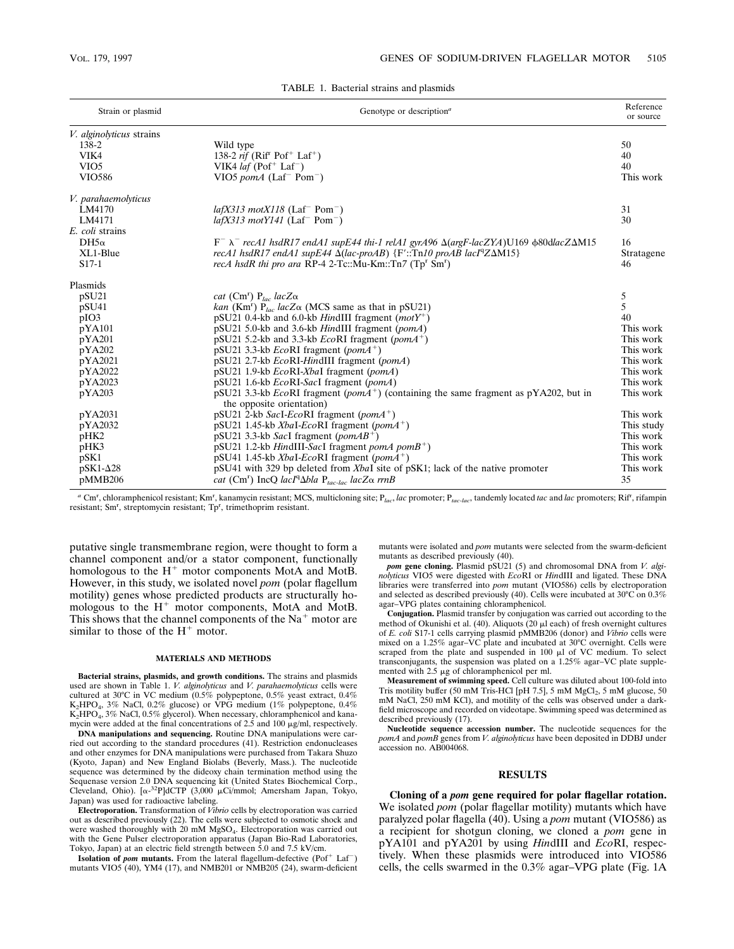| Strain or plasmid        | Genotype or description <sup>a</sup>                                                                                                         | Reference<br>or source |
|--------------------------|----------------------------------------------------------------------------------------------------------------------------------------------|------------------------|
| V. alginolyticus strains |                                                                                                                                              |                        |
| 138-2                    | Wild type                                                                                                                                    | 50                     |
| VIK4                     | 138-2 <i>rif</i> ( $Rif'$ Pof <sup>+</sup> Laf <sup>+</sup> )                                                                                | 40                     |
| VIO <sub>5</sub>         | VIK4 <i>laf</i> (Pof <sup>+</sup> Laf <sup>-</sup> )                                                                                         | 40                     |
| <b>VIO586</b>            | VIO5 pom $A$ (Laf <sup>-</sup> Pom <sup>-</sup> )                                                                                            | This work              |
| V. parahaemolyticus      |                                                                                                                                              |                        |
| LM4170                   | $la[X313 \text{ mot} X118 \text{ (Laf}^{-} Pom^{-})$                                                                                         | 31                     |
| LM4171                   | $la[X313 \text{ mot} Y141 \text{ (Laf}^{-} Pom^{-})$                                                                                         | 30                     |
| E. coli strains          |                                                                                                                                              |                        |
| DH5 $\alpha$             | $F^- \lambda^-$ recA1 hsdR17 endA1 supE44 thi-1 relA1 gyrA96 $\Delta(\text{arg}F\text{-}lacZXA)U169$ $\phi$ 80dlacZ $\Delta$ M15             | 16                     |
| XL1-Blue                 | recA1 hsdR17 endA1 supE44 $\Delta (lac$ -proAB {F'::Tn10 proAB lacI <sup>q</sup> Z $\Delta$ M15}                                             | Stratagene             |
| $S17-1$                  | recA hsdR thi pro ara RP-4 2-Tc::Mu-Km::Tn7 (Tp <sup>r</sup> Sm <sup>r</sup> )                                                               | 46                     |
| Plasmids                 |                                                                                                                                              |                        |
| pSU21                    | cat (Cm <sup>r</sup> ) $P_{lac}$ lacZ $\alpha$                                                                                               | 5                      |
| pSU41                    | kan (Km <sup>r</sup> ) $P_{loc}$ lacZ $\alpha$ (MCS same as that in pSU21)                                                                   | 5                      |
| pIO3                     | pSU21 0.4-kb and 6.0-kb HindIII fragment $(motY^+)$                                                                                          | 40                     |
| pYA101                   | pSU21 5.0-kb and 3.6-kb HindIII fragment (pomA)                                                                                              | This work              |
| pYA201                   | pSU21 5.2-kb and 3.3-kb $EcoRI$ fragment (pomA <sup>+</sup> )                                                                                | This work              |
| pYA202                   | pSU21 3.3-kb $EcoRI$ fragment (pom $A^+$ )                                                                                                   | This work              |
| pYA2021                  | pSU21 2.7-kb EcoRI-HindIII fragment (pomA)                                                                                                   | This work              |
| pYA2022                  | pSU21 1.9-kb EcoRI-XbaI fragment (pomA)                                                                                                      | This work              |
| pYA2023                  | pSU21 1.6-kb <i>EcoRI-SacI</i> fragment (pomA)                                                                                               | This work              |
| pYA203                   | pSU21 3.3-kb <i>EcoRI</i> fragment ( <i>pomA</i> <sup>+</sup> ) (containing the same fragment as pYA202, but in<br>the opposite orientation) | This work              |
| pYA2031                  | pSU21 2-kb SacI-EcoRI fragment (pom $A^+$ )                                                                                                  | This work              |
| pYA2032                  | pSU21 1.45-kb XbaI-EcoRI fragment (pom $A^+$ )                                                                                               | This study             |
| pHK2                     | $pSU21$ 3.3-kb <i>SacI</i> fragment ( <i>pomAB</i> <sup>+</sup> )                                                                            | This work              |
| pHK3                     | $pSU21$ 1.2-kb HindIII-SacI fragment pomA pomB <sup>+</sup> )                                                                                | This work              |
| $p$ SK1                  | pSU41 1.45-kb XbaI-EcoRI fragment (pom $A^+$ )                                                                                               | This work              |
| $p$ SK1- $\Delta$ 28     | pSU41 with 329 bp deleted from XbaI site of pSK1; lack of the native promoter                                                                | This work              |
| pMMB206                  | cat (Cm <sup>r</sup> ) IncQ lacI <sup>q</sup> $\Delta$ bla P <sub>tac-lac</sub> lacZ $\alpha$ rrnB                                           | 35                     |

*<sup>a</sup>* Cm<sup>r</sup> , chloramphenicol resistant; Kmr , kanamycin resistant; MCS, multicloning site; P*lac*, *lac* promoter; P*tac-lac*, tandemly located *tac* and *lac* promoters; Rifr , rifampin resistant; Sm<sup>r</sup>, streptomycin resistant; Tp<sup>r</sup>, trimethoprim resistant.

putative single transmembrane region, were thought to form a channel component and/or a stator component, functionally homologous to the  $H^+$  motor components MotA and MotB. However, in this study, we isolated novel *pom* (polar flagellum motility) genes whose predicted products are structurally homologous to the  $H^+$  motor components, MotA and MotB. This shows that the channel components of the  $Na<sup>+</sup>$  motor are similar to those of the  $H^+$  motor.

#### **MATERIALS AND METHODS**

**Bacterial strains, plasmids, and growth conditions.** The strains and plasmids used are shown in Table 1. *V. alginolyticus* and *V. parahaemolyticus* cells were cultured at 30°C in VC medium (0.5% polypeptone, 0.5% yeast extract, 0.4% K<sub>2</sub>HPO<sub>4</sub>, 3% NaCl, 0.2% glucose) or VPG medium (1% polypeptone, 0.4% K2HPO4, 3% NaCl, 0.5% glycerol). When necessary, chloramphenicol and kanamycin were added at the final concentrations of  $2.5$  and  $100 \mu g/ml$ , respectively.

**DNA manipulations and sequencing.** Routine DNA manipulations were carried out according to the standard procedures (41). Restriction endonucleases and other enzymes for DNA manipulations were purchased from Takara Shuzo (Kyoto, Japan) and New England Biolabs (Beverly, Mass.). The nucleotide sequence was determined by the dideoxy chain termination method using the Sequenase version 2.0 DNA sequencing kit (United States Biochemical Corp., Cleveland, Ohio). [a-<sup>32</sup>P]dCTP (3,000 µCi/mmol; Amersham Japan, Tokyo, Japan) was used for radioactive labeling.

**Electroporation.** Transformation of *Vibrio* cells by electroporation was carried out as described previously (22). The cells were subjected to osmotic shock and were washed thoroughly with 20 mM MgSO<sub>4</sub>. Electroporation was carried out with the Gene Pulser electroporation apparatus (Japan Bio-Rad Laboratories, Tokyo, Japan) at an electric field strength between 5.0 and 7.5 kV/cm.

**Isolation of** *pom* **mutants.** From the lateral flagellum-defective (Pof<sup>+</sup> Laf<sup>-</sup>) mutants VIO5 (40), YM4 (17), and NMB201 or NMB205 (24), swarm-deficient mutants were isolated and *pom* mutants were selected from the swarm-deficient mutants as described previously (40).

*pom* gene cloning. Plasmid pSU21 (5) and chromosomal DNA from *V. alginolyticus* VIO5 were digested with *Eco*RI or *Hin*dIII and ligated. These DNA libraries were transferred into *pom* mutant (VIO586) cells by electroporation and selected as described previously (40). Cells were incubated at  $30^{\circ}$ C on  $0.3\%$ agar–VPG plates containing chloramphenicol.

**Conjugation.** Plasmid transfer by conjugation was carried out according to the method of Okunishi et al. (40). Aliquots (20  $\mu$ l each) of fresh overnight cultures of *E. coli* S17-1 cells carrying plasmid pMMB206 (donor) and *Vibrio* cells were mixed on a 1.25% agar–VC plate and incubated at 30°C overnight. Cells were scraped from the plate and suspended in 100  $\mu$ l of VC medium. To select transconjugants, the suspension was plated on a 1.25% agar–VC plate supplemented with  $2.5 \mu g$  of chloramphenicol per ml.

Measurement of swimming speed. Cell culture was diluted about 100-fold into Tris motility buffer (50 mM Tris-HCl [pH 7.5], 5 mM MgCl<sub>2</sub>, 5 mM glucose, 50<br>mM NaCl, 250 mM KCl), and motility of the cells was observed under a darkfield microscope and recorded on videotape. Swimming speed was determined as described previously (17).

**Nucleotide sequence accession number.** The nucleotide sequences for the *pomA* and *pomB* genes from *V. alginolyticus* have been deposited in DDBJ under accession no. AB004068.

### **RESULTS**

**Cloning of a** *pom* **gene required for polar flagellar rotation.** We isolated *pom* (polar flagellar motility) mutants which have paralyzed polar flagella (40). Using a *pom* mutant (VIO586) as a recipient for shotgun cloning, we cloned a *pom* gene in pYA101 and pYA201 by using *Hin*dIII and *Eco*RI, respectively. When these plasmids were introduced into VIO586 cells, the cells swarmed in the 0.3% agar–VPG plate (Fig. 1A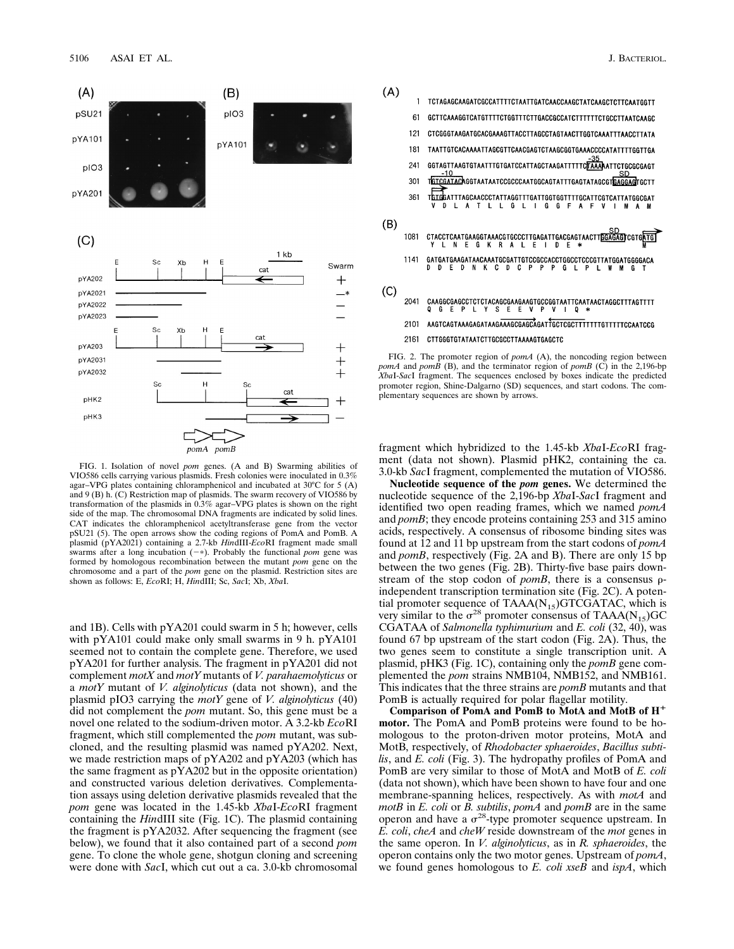

FIG. 1. Isolation of novel *pom* genes. (A and B) Swarming abilities of VIO586 cells carrying various plasmids. Fresh colonies were inoculated in 0.3% agar–VPG plates containing chloramphenicol and incubated at 30°C for 5 (A) and 9 (B) h. (C) Restriction map of plasmids. The swarm recovery of VIO586 by transformation of the plasmids in 0.3% agar–VPG plates is shown on the right side of the map. The chromosomal DNA fragments are indicated by solid lines. CAT indicates the chloramphenicol acetyltransferase gene from the vector pSU21 (5). The open arrows show the coding regions of PomA and PomB. A plasmid (pYA2021) containing a 2.7-kb *Hin*dIII-*Eco*RI fragment made small swarms after a long incubation  $(-*)$ . Probably the functional *pom* gene was formed by homologous recombination between the mutant *pom* gene on the chromosome and a part of the *pom* gene on the plasmid. Restriction sites are shown as follows: E, *Eco*RI; H, *Hin*dIII; Sc, *Sac*I; Xb, *Xba*I.

and 1B). Cells with pYA201 could swarm in 5 h; however, cells with pYA101 could make only small swarms in 9 h. pYA101 seemed not to contain the complete gene. Therefore, we used pYA201 for further analysis. The fragment in pYA201 did not complement *motX* and *motY* mutants of *V. parahaemolyticus* or a *motY* mutant of *V. alginolyticus* (data not shown), and the plasmid pIO3 carrying the *motY* gene of *V. alginolyticus* (40) did not complement the *pom* mutant. So, this gene must be a novel one related to the sodium-driven motor. A 3.2-kb *Eco*RI fragment, which still complemented the *pom* mutant, was subcloned, and the resulting plasmid was named pYA202. Next, we made restriction maps of pYA202 and pYA203 (which has the same fragment as pYA202 but in the opposite orientation) and constructed various deletion derivatives. Complementation assays using deletion derivative plasmids revealed that the *pom* gene was located in the 1.45-kb *Xba*I-*Eco*RI fragment containing the *Hin*dIII site (Fig. 1C). The plasmid containing the fragment is pYA2032. After sequencing the fragment (see below), we found that it also contained part of a second *pom* gene. To clone the whole gene, shotgun cloning and screening were done with *Sac*I, which cut out a ca. 3.0-kb chromosomal



fragment which hybridized to the 1.45-kb *Xba*I-*Eco*RI fragment (data not shown). Plasmid pHK2, containing the ca. 3.0-kb *Sac*I fragment, complemented the mutation of VIO586.

**Nucleotide sequence of the** *pom* **genes.** We determined the nucleotide sequence of the 2,196-bp *Xba*I-*Sac*I fragment and identified two open reading frames, which we named *pomA* and *pomB*; they encode proteins containing 253 and 315 amino acids, respectively. A consensus of ribosome binding sites was found at 12 and 11 bp upstream from the start codons of *pomA* and *pomB*, respectively (Fig. 2A and B). There are only 15 bp between the two genes (Fig. 2B). Thirty-five base pairs downstream of the stop codon of  $pomB$ , there is a consensus  $\rho$ independent transcription termination site (Fig. 2C). A potential promoter sequence of  $TAAA(N_{15})GTCGATAC$ , which is very similar to the  $\sigma^{28}$  promoter consensus of TAAA(N<sub>15</sub>)GC CGATAA of *Salmonella typhimurium* and *E. coli* (32, 40), was found 67 bp upstream of the start codon (Fig. 2A). Thus, the two genes seem to constitute a single transcription unit. A plasmid, pHK3 (Fig. 1C), containing only the *pomB* gene complemented the *pom* strains NMB104, NMB152, and NMB161. This indicates that the three strains are *pomB* mutants and that PomB is actually required for polar flagellar motility.

**Comparison of PomA and PomB to MotA and MotB of H**<sup>1</sup> **motor.** The PomA and PomB proteins were found to be homologous to the proton-driven motor proteins, MotA and MotB, respectively, of *Rhodobacter sphaeroides*, *Bacillus subtilis*, and *E. coli* (Fig. 3). The hydropathy profiles of PomA and PomB are very similar to those of MotA and MotB of *E. coli* (data not shown), which have been shown to have four and one membrane-spanning helices, respectively. As with *motA* and *motB* in *E. coli* or *B. subtilis*, *pomA* and *pomB* are in the same operon and have a  $\sigma^{28}$ -type promoter sequence upstream. In *E. coli*, *cheA* and *cheW* reside downstream of the *mot* genes in the same operon. In *V. alginolyticus*, as in *R. sphaeroides*, the operon contains only the two motor genes. Upstream of *pomA*, we found genes homologous to *E. coli xseB* and *ispA*, which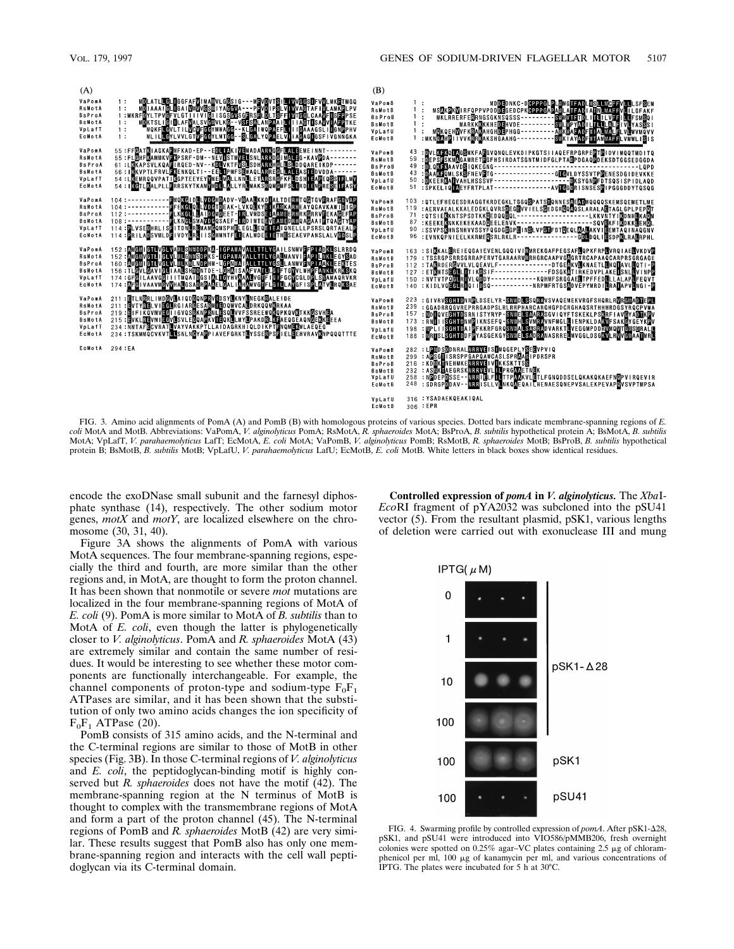

FIG. 3. Amino acid alignments of PomA (A) and PomB (B) with homologous proteins of various species. Dotted bars indicate membrane-spanning regions of *E. coli* MotA and MotB. Abbreviations: VaPomA, *V. alginolyticus* PomA; RsMotA, *R. sphaeroides* MotA; BsProA, *B. subtilis* hypothetical protein A; BsMotA, *B. subtilis* MotA; VpLafT, *V. parahaemolyticus* LafT; EcMotA, *E. coli* MotA; VaPomB, *V. alginolyticus* PomB; RsMotB, *R. sphaeroides* MotB; BsProB, *B. subtilis* hypothetical protein B; BsMotB, *B. subtilis* MotB; VpLafU, *V. parahaemolyticus* LafU; EcMotB, *E. coli* MotB. White letters in black boxes show identical residues.

encode the exoDNase small subunit and the farnesyl diphosphate synthase (14), respectively. The other sodium motor genes, *motX* and *motY*, are localized elsewhere on the chromosome (30, 31, 40).

Figure 3A shows the alignments of PomA with various MotA sequences. The four membrane-spanning regions, especially the third and fourth, are more similar than the other regions and, in MotA, are thought to form the proton channel. It has been shown that nonmotile or severe *mot* mutations are localized in the four membrane-spanning regions of MotA of *E. coli* (9). PomA is more similar to MotA of *B. subtilis* than to MotA of *E. coli*, even though the latter is phylogenetically closer to *V. alginolyticus*. PomA and *R. sphaeroides* MotA (43) are extremely similar and contain the same number of residues. It would be interesting to see whether these motor components are functionally interchangeable. For example, the channel components of proton-type and sodium-type  $F_0F_1$ ATPases are similar, and it has been shown that the substitution of only two amino acids changes the ion specificity of  $F_0F_1$  ATPase (20).

PomB consists of 315 amino acids, and the N-terminal and the C-terminal regions are similar to those of MotB in other species (Fig. 3B). In those C-terminal regions of *V. alginolyticus* and *E. coli*, the peptidoglycan-binding motif is highly conserved but *R. sphaeroides* does not have the motif (42). The membrane-spanning region at the N terminus of MotB is thought to complex with the transmembrane regions of MotA and form a part of the proton channel (45). The N-terminal regions of PomB and *R. sphaeroides* MotB (42) are very similar. These results suggest that PomB also has only one membrane-spanning region and interacts with the cell wall peptidoglycan via its C-terminal domain.

**Controlled expression of** *pomA* **in** *V. alginolyticus.* The *Xba*I-*Eco*RI fragment of pYA2032 was subcloned into the pSU41 vector (5). From the resultant plasmid, pSK1, various lengths of deletion were carried out with exonuclease III and mung



FIG. 4. Swarming profile by controlled expression of *pomA*. After pSK1- $\Delta$ 28, pSK1, and pSU41 were introduced into VIO586/pMMB206, fresh overnight colonies were spotted on  $0.25\%$  agar–VC plates containing  $2.5 \mu$ g of chloramphenicol per ml, 100 mg of kanamycin per ml, and various concentrations of IPTG. The plates were incubated for 5 h at 30°C.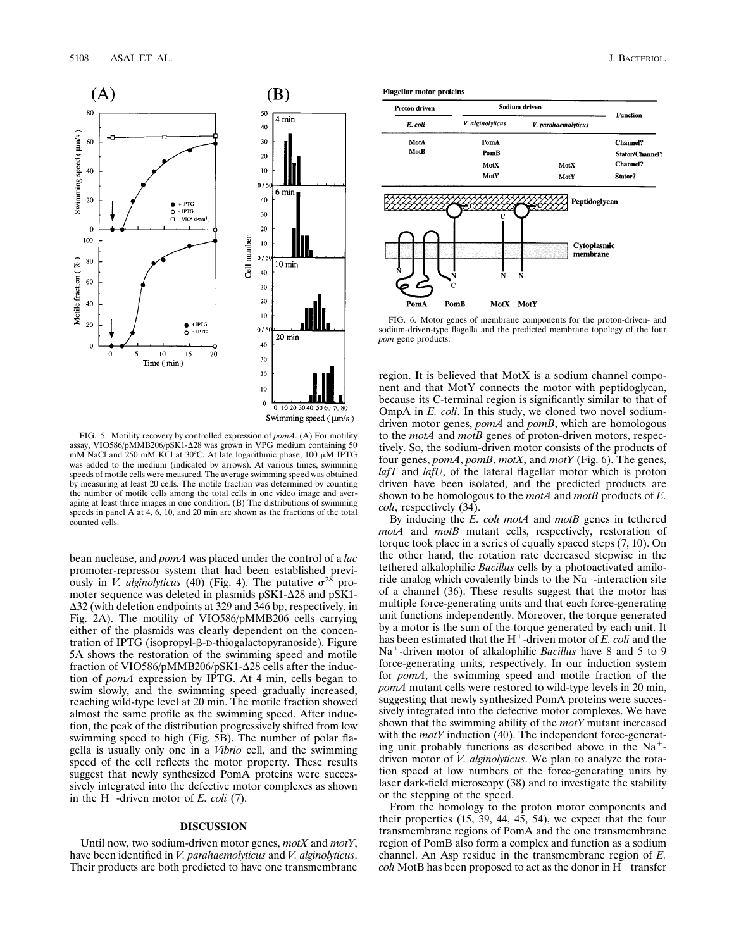

FIG. 5. Motility recovery by controlled expression of *pomA*. (A) For motility assay, VIO586/pMMB206/pSK1- $\Delta$ 28 was grown in VPG medium containing 50 mM NaCl and  $250$  mM KCl at 30°C. At late logarithmic phase, 100  $\mu$ M IPTG was added to the medium (indicated by arrows). At various times, swimming speeds of motile cells were measured. The average swimming speed was obtained by measuring at least 20 cells. The motile fraction was determined by counting the number of motile cells among the total cells in one video image and averaging at least three images in one condition. (B) The distributions of swimming speeds in panel A at 4, 6, 10, and 20 min are shown as the fractions of the total counted cells.

bean nuclease, and *pomA* was placed under the control of a *lac* promoter-repressor system that had been established previously in *V. alginolyticus* (40) (Fig. 4). The putative  $\sigma^{28}$  promoter sequence was deleted in plasmids  $pSK1-\Delta28$  and  $pSK1$ - $\Delta$ 32 (with deletion endpoints at 329 and 346 bp, respectively, in Fig. 2A). The motility of VIO586/pMMB206 cells carrying either of the plasmids was clearly dependent on the concentration of IPTG (isopropyl-β-D-thiogalactopyranoside). Figure 5A shows the restoration of the swimming speed and motile fraction of VIO586/pMMB206/pSK1- $\Delta$ 28 cells after the induction of *pomA* expression by IPTG. At 4 min, cells began to swim slowly, and the swimming speed gradually increased, reaching wild-type level at 20 min. The motile fraction showed almost the same profile as the swimming speed. After induction, the peak of the distribution progressively shifted from low swimming speed to high (Fig. 5B). The number of polar flagella is usually only one in a *Vibrio* cell, and the swimming speed of the cell reflects the motor property. These results suggest that newly synthesized PomA proteins were successively integrated into the defective motor complexes as shown in the  $H^+$ -driven motor of *E. coli* (7).

#### **DISCUSSION**

Until now, two sodium-driven motor genes, *motX* and *motY*, have been identified in *V. parahaemolyticus* and *V. alginolyticus*. Their products are both predicted to have one transmembrane **Flagellar motor proteins** 



FIG. 6. Motor genes of membrane components for the proton-driven- and sodium-driven-type flagella and the predicted membrane topology of the four *pom* gene products.

region. It is believed that MotX is a sodium channel component and that MotY connects the motor with peptidoglycan, because its C-terminal region is significantly similar to that of OmpA in *E. coli*. In this study, we cloned two novel sodiumdriven motor genes, *pomA* and *pomB*, which are homologous to the *motA* and *motB* genes of proton-driven motors, respectively. So, the sodium-driven motor consists of the products of four genes, *pomA*, *pomB*, *motX*, and *motY* (Fig. 6). The genes, *lafT* and *lafU*, of the lateral flagellar motor which is proton driven have been isolated, and the predicted products are shown to be homologous to the *motA* and *motB* products of *E. coli*, respectively (34).

By inducing the *E. coli motA* and *motB* genes in tethered *motA* and *motB* mutant cells, respectively, restoration of torque took place in a series of equally spaced steps (7, 10). On the other hand, the rotation rate decreased stepwise in the tethered alkalophilic *Bacillus* cells by a photoactivated amiloride analog which covalently binds to the  $Na<sup>+</sup>$ -interaction site of a channel (36). These results suggest that the motor has multiple force-generating units and that each force-generating unit functions independently. Moreover, the torque generated by a motor is the sum of the torque generated by each unit. It has been estimated that the  $H^+$ -driven motor of *E. coli* and the Na<sup>+</sup>-driven motor of alkalophilic *Bacillus* have 8 and 5 to 9 force-generating units, respectively. In our induction system for *pomA*, the swimming speed and motile fraction of the *pomA* mutant cells were restored to wild-type levels in 20 min, suggesting that newly synthesized PomA proteins were successively integrated into the defective motor complexes. We have shown that the swimming ability of the *motY* mutant increased with the *motY* induction (40). The independent force-generating unit probably functions as described above in the  $Na<sup>+</sup>$ driven motor of *V. alginolyticus*. We plan to analyze the rotation speed at low numbers of the force-generating units by laser dark-field microscopy (38) and to investigate the stability or the stepping of the speed.

From the homology to the proton motor components and their properties (15, 39, 44, 45, 54), we expect that the four transmembrane regions of PomA and the one transmembrane region of PomB also form a complex and function as a sodium channel. An Asp residue in the transmembrane region of *E. coli* MotB has been proposed to act as the donor in  $H^+$  transfer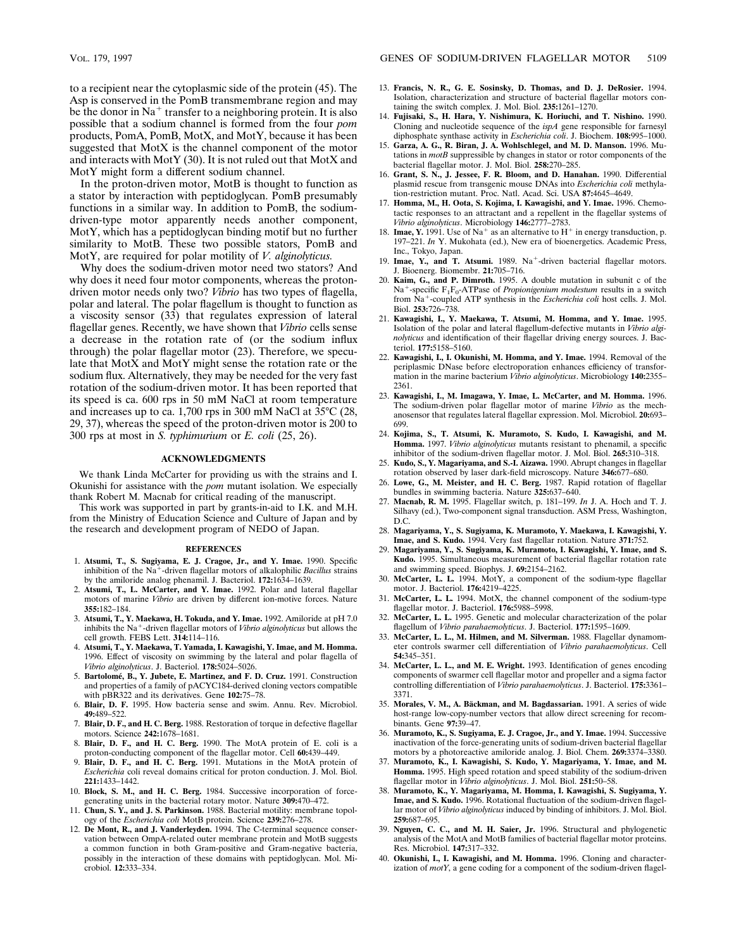to a recipient near the cytoplasmic side of the protein (45). The Asp is conserved in the PomB transmembrane region and may be the donor in  $Na<sup>+</sup>$  transfer to a neighboring protein. It is also possible that a sodium channel is formed from the four *pom* products, PomA, PomB, MotX, and MotY, because it has been suggested that MotX is the channel component of the motor and interacts with MotY (30). It is not ruled out that MotX and MotY might form a different sodium channel.

In the proton-driven motor, MotB is thought to function as a stator by interaction with peptidoglycan. PomB presumably functions in a similar way. In addition to PomB, the sodiumdriven-type motor apparently needs another component, MotY, which has a peptidoglycan binding motif but no further similarity to MotB. These two possible stators, PomB and MotY, are required for polar motility of *V. alginolyticus.*

Why does the sodium-driven motor need two stators? And why does it need four motor components, whereas the protondriven motor needs only two? *Vibrio* has two types of flagella, polar and lateral. The polar flagellum is thought to function as a viscosity sensor (33) that regulates expression of lateral flagellar genes. Recently, we have shown that *Vibrio* cells sense a decrease in the rotation rate of (or the sodium influx through) the polar flagellar motor (23). Therefore, we speculate that MotX and MotY might sense the rotation rate or the sodium flux. Alternatively, they may be needed for the very fast rotation of the sodium-driven motor. It has been reported that its speed is ca. 600 rps in 50 mM NaCl at room temperature and increases up to ca. 1,700 rps in 300 mM NaCl at 35°C (28, 29, 37), whereas the speed of the proton-driven motor is 200 to 300 rps at most in *S. typhimurium* or *E. coli* (25, 26).

## **ACKNOWLEDGMENTS**

We thank Linda McCarter for providing us with the strains and I. Okunishi for assistance with the *pom* mutant isolation. We especially thank Robert M. Macnab for critical reading of the manuscript.

This work was supported in part by grants-in-aid to I.K. and M.H. from the Ministry of Education Science and Culture of Japan and by the research and development program of NEDO of Japan.

#### **REFERENCES**

- 1. **Atsumi, T., S. Sugiyama, E. J. Cragoe, Jr., and Y. Imae.** 1990. Specific inhibition of the Na<sup>+</sup>-driven flagellar motors of alkalophilic *Bacillus* strains by the amiloride analog phenamil. J. Bacteriol. **172:**1634–1639.
- 2. **Atsumi, T., L. McCarter, and Y. Imae.** 1992. Polar and lateral flagellar motors of marine *Vibrio* are driven by different ion-motive forces. Nature **355:**182–184.
- 3. **Atsumi, T., Y. Maekawa, H. Tokuda, and Y. Imae.** 1992. Amiloride at pH 7.0 inhibits the Na<sup>+</sup>-driven flagellar motors of *Vibrio alginolyticus* but allows the cell growth. FEBS Lett. **314:**114–116.
- 4. **Atsumi, T., Y. Maekawa, T. Yamada, I. Kawagishi, Y. Imae, and M. Homma.** 1996. Effect of viscosity on swimming by the lateral and polar flagella of *Vibrio alginolyticus*. J. Bacteriol. **178:**5024–5026.
- 5. **Bartolome´, B., Y. Jubete, E. Martinez, and F. D. Cruz.** 1991. Construction and properties of a family of pACYC184-derived cloning vectors compatible with pBR322 and its derivatives. Gene **102:**75–78.
- 6. **Blair, D. F.** 1995. How bacteria sense and swim. Annu. Rev. Microbiol. **49:**489–522.
- 7. **Blair, D. F., and H. C. Berg.** 1988. Restoration of torque in defective flagellar motors. Science **242:**1678–1681.
- 8. **Blair, D. F., and H. C. Berg.** 1990. The MotA protein of E. coli is a proton-conducting component of the flagellar motor. Cell **60:**439–449.
- 9. **Blair, D. F., and H. C. Berg.** 1991. Mutations in the MotA protein of *Escherichia* coli reveal domains critical for proton conduction. J. Mol. Biol. **221:**1433–1442.
- 10. **Block, S. M., and H. C. Berg.** 1984. Successive incorporation of forcegenerating units in the bacterial rotary motor. Nature **309:**470–472.
- 11. **Chun, S. Y., and J. S. Parkinson.** 1988. Bacterial motility: membrane topology of the *Escherichia coli* MotB protein. Science **239:**276–278.
- 12. **De Mont, R., and J. Vanderleyden.** 1994. The C-terminal sequence conservation between OmpA-related outer membrane protein and MotB suggests a common function in both Gram-positive and Gram-negative bacteria, possibly in the interaction of these domains with peptidoglycan. Mol. Microbiol. **12:**333–334.
- 13. **Francis, N. R., G. E. Sosinsky, D. Thomas, and D. J. DeRosier.** 1994. Isolation, characterization and structure of bacterial flagellar motors containing the switch complex. J. Mol. Biol. **235:**1261–1270.
- 14. **Fujisaki, S., H. Hara, Y. Nishimura, K. Horiuchi, and T. Nishino.** 1990. Cloning and nucleotide sequence of the *ispA* gene responsible for farnesyl diphosphate synthase activity in *Escherichia coli*. J. Biochem. **108:**995–1000.
- 15. **Garza, A. G., R. Biran, J. A. Wohlschlegel, and M. D. Manson.** 1996. Mutations in *motB* suppressible by changes in stator or rotor components of the bacterial flagellar motor. J. Mol. Biol. **258:**270–285.
- 16. **Grant, S. N., J. Jessee, F. R. Bloom, and D. Hanahan.** 1990. Differential plasmid rescue from transgenic mouse DNAs into *Escherichia coli* methylation-restriction mutant. Proc. Natl. Acad. Sci. USA **87:**4645–4649.
- 17. **Homma, M., H. Oota, S. Kojima, I. Kawagishi, and Y. Imae.** 1996. Chemotactic responses to an attractant and a repellent in the flagellar systems of *Vibrio alginolyticus*. Microbiology **146:**2777–2783.
- 18. **Imae, Y.** 1991. Use of  $Na^+$  as an alternative to  $H^+$  in energy transduction, p. 197–221. *In* Y. Mukohata (ed.), New era of bioenergetics. Academic Press, Inc., Tokyo, Japan.
- 19. Imae, Y., and T. Atsumi. 1989. Na<sup>+</sup>-driven bacterial flagellar motors. J. Bioenerg. Biomembr. **21:**705–716.
- 20. **Kaim, G., and P. Dimroth.** 1995. A double mutation in subunit c of the Na<sup>+</sup>-specific F<sub>1</sub>F<sub>0</sub>-ATPase of *Propionigenium modestum* results in a switch from Na<sup>+</sup>-coupled ATP synthesis in the *Escherichia coli* host cells. J. Mol. Biol. **253:**726–738.
- 21. **Kawagishi, I., Y. Maekawa, T. Atsumi, M. Homma, and Y. Imae.** 1995. Isolation of the polar and lateral flagellum-defective mutants in *Vibrio alginolyticus* and identification of their flagellar driving energy sources. J. Bacteriol. **177:**5158–5160.
- 22. **Kawagishi, I., I. Okunishi, M. Homma, and Y. Imae.** 1994. Removal of the periplasmic DNase before electroporation enhances efficiency of transformation in the marine bacterium *Vibrio alginolyticus*. Microbiology **140:**2355– 2361.
- 23. **Kawagishi, I., M. Imagawa, Y. Imae, L. McCarter, and M. Homma.** 1996. The sodium-driven polar flagellar motor of marine *Vibrio* as the mechanosensor that regulates lateral flagellar expression. Mol. Microbiol. **20:**693– 699.
- 24. **Kojima, S., T. Atsumi, K. Muramoto, S. Kudo, I. Kawagishi, and M. Homma.** 1997. *Vibrio alginolyticus* mutants resistant to phenamil, a specific inhibitor of the sodium-driven flagellar motor. J. Mol. Biol. **265:**310–318.
- 25. **Kudo, S., Y. Magariyama, and S.-I. Aizawa.** 1990. Abrupt changes in flagellar rotation observed by laser dark-field microscopy. Nature **346:**677–680.
- 26. **Lowe, G., M. Meister, and H. C. Berg.** 1987. Rapid rotation of flagellar bundles in swimming bacteria. Nature **325:**637–640.
- 27. **Macnab, R. M.** 1995. Flagellar switch, p. 181–199. *In* J. A. Hoch and T. J. Silhavy (ed.), Two-component signal transduction. ASM Press, Washington, D.C.
- 28. **Magariyama, Y., S. Sugiyama, K. Muramoto, Y. Maekawa, I. Kawagishi, Y. Imae, and S. Kudo.** 1994. Very fast flagellar rotation. Nature **371:**752.
- 29. **Magariyama, Y., S. Sugiyama, K. Muramoto, I. Kawagishi, Y. Imae, and S. Kudo.** 1995. Simultaneous measurement of bacterial flagellar rotation rate and swimming speed. Biophys. J. **69:**2154–2162.
- 30. **McCarter, L. L.** 1994. MotY, a component of the sodium-type flagellar motor. J. Bacteriol. **176:**4219–4225.
- 31. **McCarter, L. L.** 1994. MotX, the channel component of the sodium-type flagellar motor. J. Bacteriol. **176:**5988–5998.
- 32. **McCarter, L. L.** 1995. Genetic and molecular characterization of the polar flagellum of *Vibrio parahaemolyticus*. J. Bacteriol. **177:**1595–1609.
- 33. **McCarter, L. L., M. Hilmen, and M. Silverman.** 1988. Flagellar dynamometer controls swarmer cell differentiation of *Vibrio parahaemolyticus*. Cell **54:**345–351.
- 34. **McCarter, L. L., and M. E. Wright.** 1993. Identification of genes encoding components of swarmer cell flagellar motor and propeller and a sigma factor controlling differentiation of *Vibrio parahaemolyticus*. J. Bacteriol. **175:**3361– 3371.
- 35. Morales, V. M., A. Bäckman, and M. Bagdassarian. 1991. A series of wide host-range low-copy-number vectors that allow direct screening for recombinants. Gene **97:**39–47.
- 36. **Muramoto, K., S. Sugiyama, E. J. Cragoe, Jr., and Y. Imae.** 1994. Successive inactivation of the force-generating units of sodium-driven bacterial flagellar motors by a photoreactive amiloride analog. J. Biol. Chem. **269:**3374–3380.
- 37. **Muramoto, K., I. Kawagishi, S. Kudo, Y. Magariyama, Y. Imae, and M. Homma.** 1995. High speed rotation and speed stability of the sodium-driven flagellar motor in *Vibrio alginolyticus*. J. Mol. Biol. **251:**50–58.
- 38. **Muramoto, K., Y. Magariyama, M. Homma, I. Kawagishi, S. Sugiyama, Y. Imae, and S. Kudo.** 1996. Rotational fluctuation of the sodium-driven flagellar motor of *Vibrio alginolyticus* induced by binding of inhibitors. J. Mol. Biol. **259:**687–695.
- 39. **Nguyen, C. C., and M. H. Saier, Jr.** 1996. Structural and phylogenetic analysis of the MotA and MotB families of bacterial flagellar motor proteins. Res. Microbiol. **147:**317–332.
- 40. **Okunishi, I., I. Kawagishi, and M. Homma.** 1996. Cloning and characterization of *motY*, a gene coding for a component of the sodium-driven flagel-